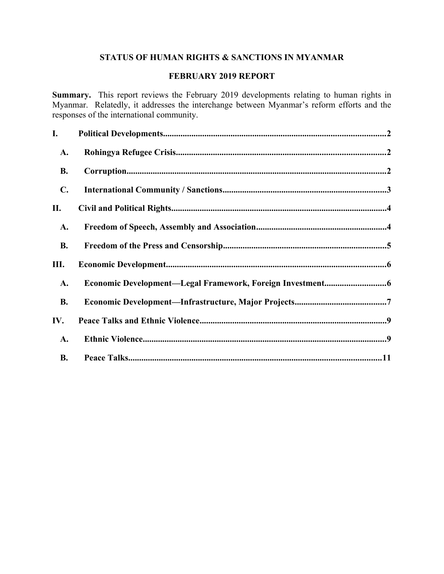# **STATUS OF HUMAN RIGHTS & SANCTIONS IN MYANMAR**

# **FEBRUARY 2019 REPORT**

**Summary.** This report reviews the February 2019 developments relating to human rights in Myanmar. Relatedly, it addresses the interchange between Myanmar's reform efforts and the responses of the international community.

| I.             |  |
|----------------|--|
| <b>A.</b>      |  |
| <b>B.</b>      |  |
| $\mathbf{C}$ . |  |
| П.             |  |
| A.             |  |
| <b>B.</b>      |  |
| Ш.             |  |
| A.             |  |
| <b>B.</b>      |  |
| IV.            |  |
| <b>A.</b>      |  |
| <b>B.</b>      |  |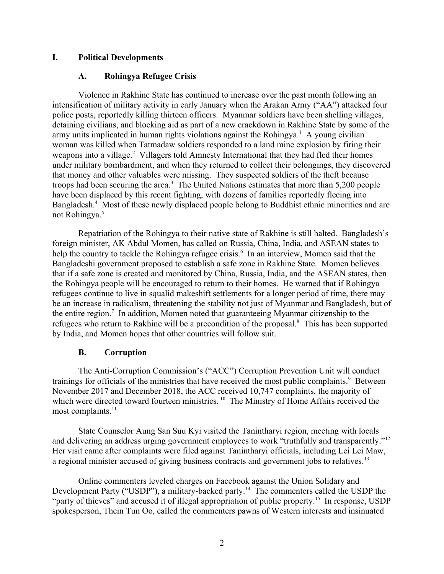# **I. Political Developments**

## <span id="page-1-2"></span><span id="page-1-0"></span>**A. Rohingya Refugee Crisis**

Violence in Rakhine State has continued to increase over the past month following an intensification of military activity in early January when the Arakan Army ("AA") attacked four police posts, reportedly killing thirteen officers. Myanmar soldiers have been shelling villages, detaining civilians, and blocking aid as part of a new crackdown in Rakhine State by some of the army units implicated in human rights violations against the Rohingya.<sup>1</sup> A young civilian woman was killed when Tatmadaw soldiers responded to a land mine explosion by firing their weapons into a village.<sup>2</sup> Villagers told Amnesty International that they had fled their homes under military bombardment, and when they returned to collect their belongings, they discovered that money and other valuables were missing. They suspected soldiers of the theft because troops had been securing the area.<sup>3</sup> The United Nations estimates that more than 5,200 people have been displaced by this recent fighting, with dozens of families reportedly fleeing into Bangladesh.<sup>4</sup> Most of these newly displaced people belong to Buddhist ethnic minorities and are not Rohingya.<sup>5</sup>

Repatriation of the Rohingya to their native state of Rakhine is still halted. Bangladesh's foreign minister, AK Abdul Momen, has called on Russia, China, India, and ASEAN states to help the country to tackle the Rohingya refugee crisis.<sup>6</sup> In an interview, Momen said that the Bangladeshi government proposed to establish a safe zone in Rakhine State. Momen believes that if a safe zone is created and monitored by China, Russia, India, and the ASEAN states, then the Rohingya people will be encouraged to return to their homes. He warned that if Rohingya refugees continue to live in squalid makeshift settlements for a longer period of time, there may be an increase in radicalism, threatening the stability not just of Myanmar and Bangladesh, but of the entire region.<sup>7</sup> In addition, Momen noted that guaranteeing Myanmar citizenship to the refugees who return to Rakhine will be a precondition of the proposal.<sup>8</sup> This has been supported by India, and Momen hopes that other countries will follow suit.

# <span id="page-1-1"></span>**B. Corruption**

The Anti-Corruption Commission's ("ACC") Corruption Prevention Unit will conduct trainings for officials of the ministries that have received the most public complaints.<sup>9</sup> Between November 2017 and December 2018, the ACC received 10,747 complaints, the majority of which were directed toward fourteen ministries.<sup>10</sup> The Ministry of Home Affairs received the most complaints.<sup>11</sup>

State Counselor Aung San Suu Kyi visited the Tanintharyi region, meeting with locals and delivering an address urging government employees to work "truthfully and transparently."<sup>12</sup> Her visit came after complaints were filed against Tanintharyi officials, including Lei Lei Maw, a regional minister accused of giving business contracts and government jobs to relatives.<sup>13</sup>

Online commenters leveled charges on Facebook against the Union Solidary and Development Party ("USDP"), a military-backed party.<sup>14</sup> The commenters called the USDP the "party of thieves" and accused it of illegal appropriation of public property.<sup>15</sup> In response, USDP spokesperson, Thein Tun Oo, called the commenters pawns of Western interests and insinuated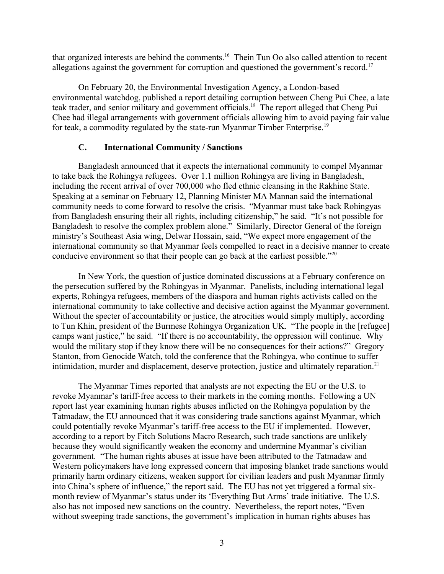that organized interests are behind the comments.<sup>16</sup> Thein Tun Oo also called attention to recent allegations against the government for corruption and questioned the government's record.<sup>17</sup>

On February 20, the Environmental Investigation Agency, a London-based environmental watchdog, published a report detailing corruption between Cheng Pui Chee, a late teak trader, and senior military and government officials.<sup>18</sup> The report alleged that Cheng Pui Chee had illegal arrangements with government officials allowing him to avoid paying fair value for teak, a commodity regulated by the state-run Myanmar Timber Enterprise.<sup>19</sup>

### <span id="page-2-0"></span>**C. International Community / Sanctions**

Bangladesh announced that it expects the international community to compel Myanmar to take back the Rohingya refugees. Over 1.1 million Rohingya are living in Bangladesh, including the recent arrival of over 700,000 who fled ethnic cleansing in the Rakhine State. Speaking at a seminar on February 12, Planning Minister MA Mannan said the international community needs to come forward to resolve the crisis. "Myanmar must take back Rohingyas from Bangladesh ensuring their all rights, including citizenship," he said. "It's not possible for Bangladesh to resolve the complex problem alone." Similarly, Director General of the foreign ministry's Southeast Asia wing, Delwar Hossain, said, "We expect more engagement of the international community so that Myanmar feels compelled to react in a decisive manner to create conducive environment so that their people can go back at the earliest possible."<sup>20</sup>

In New York, the question of justice dominated discussions at a February conference on the persecution suffered by the Rohingyas in Myanmar. Panelists, including international legal experts, Rohingya refugees, members of the diaspora and human rights activists called on the international community to take collective and decisive action against the Myanmar government. Without the specter of accountability or justice, the atrocities would simply multiply, according to Tun Khin, president of the Burmese Rohingya Organization UK. "The people in the [refugee] camps want justice," he said. "If there is no accountability, the oppression will continue. Why would the military stop if they know there will be no consequences for their actions?" Gregory Stanton, from Genocide Watch, told the conference that the Rohingya, who continue to suffer intimidation, murder and displacement, deserve protection, justice and ultimately reparation.<sup>21</sup>

The Myanmar Times reported that analysts are not expecting the EU or the U.S. to revoke Myanmar's tariff-free access to their markets in the coming months. Following a UN report last year examining human rights abuses inflicted on the Rohingya population by the Tatmadaw, the EU announced that it was considering trade sanctions against Myanmar, which could potentially revoke Myanmar's tariff-free access to the EU if implemented. However, according to a report by Fitch Solutions Macro Research, such trade sanctions are unlikely because they would significantly weaken the economy and undermine Myanmar's civilian government. "The human rights abuses at issue have been attributed to the Tatmadaw and Western policymakers have long expressed concern that imposing blanket trade sanctions would primarily harm ordinary citizens, weaken support for civilian leaders and push Myanmar firmly into China's sphere of influence," the report said. The EU has not yet triggered a formal sixmonth review of Myanmar's status under its 'Everything But Arms' trade initiative. The U.S. also has not imposed new sanctions on the country. Nevertheless, the report notes, "Even without sweeping trade sanctions, the government's implication in human rights abuses has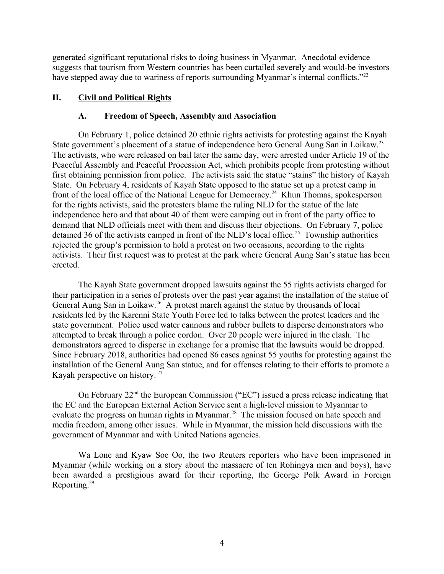generated significant reputational risks to doing business in Myanmar. Anecdotal evidence suggests that tourism from Western countries has been curtailed severely and would-be investors have stepped away due to wariness of reports surrounding Myanmar's internal conflicts."<sup>22</sup>

# **II. Civil and Political Rights**

### <span id="page-3-1"></span><span id="page-3-0"></span>**A. Freedom of Speech, Assembly and Association**

On February 1, police detained 20 ethnic rights activists for protesting against the Kayah State government's placement of a statue of independence hero General Aung San in Loikaw.<sup>23</sup> The activists, who were released on bail later the same day, were arrested under Article 19 of the Peaceful Assembly and Peaceful Procession Act, which prohibits people from protesting without first obtaining permission from police. The activists said the statue "stains" the history of Kayah State. On February 4, residents of Kayah State opposed to the statue set up a protest camp in front of the local office of the National League for Democracy.<sup>24</sup> Khun Thomas, spokesperson for the rights activists, said the protesters blame the ruling NLD for the statue of the late independence hero and that about 40 of them were camping out in front of the party office to demand that NLD officials meet with them and discuss their objections. On February 7, police detained 36 of the activists camped in front of the NLD's local office.<sup>25</sup> Township authorities rejected the group's permission to hold a protest on two occasions, according to the rights activists. Their first request was to protest at the park where General Aung San's statue has been erected.

The Kayah State government dropped lawsuits against the 55 rights activists charged for their participation in a series of protests over the past year against the installation of the statue of General Aung San in Loikaw.<sup>26</sup> A protest march against the statue by thousands of local residents led by the Karenni State Youth Force led to talks between the protest leaders and the state government. Police used water cannons and rubber bullets to disperse demonstrators who attempted to break through a police cordon. Over 20 people were injured in the clash. The demonstrators agreed to disperse in exchange for a promise that the lawsuits would be dropped. Since February 2018, authorities had opened 86 cases against 55 youths for protesting against the installation of the General Aung San statue, and for offenses relating to their efforts to promote a Kayah perspective on history. <sup>27</sup>

On February 22nd the European Commission ("EC") issued a press release indicating that the EC and the European External Action Service sent a high-level mission to Myanmar to evaluate the progress on human rights in Myanmar.<sup>28</sup> The mission focused on hate speech and media freedom, among other issues. While in Myanmar, the mission held discussions with the government of Myanmar and with United Nations agencies.

Wa Lone and Kyaw Soe Oo, the two Reuters reporters who have been imprisoned in Myanmar (while working on a story about the massacre of ten Rohingya men and boys), have been awarded a prestigious award for their reporting, the George Polk Award in Foreign Reporting.<sup>29</sup>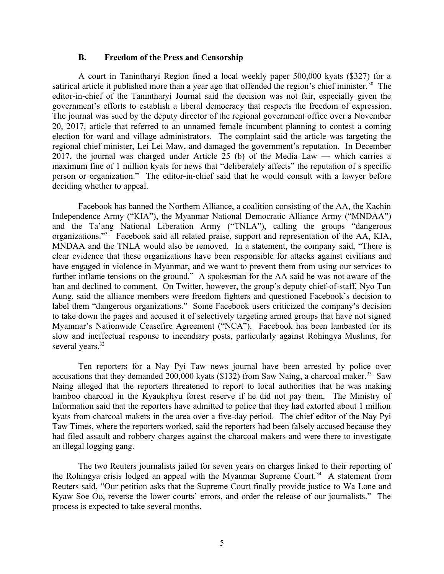#### <span id="page-4-0"></span>**B. Freedom of the Press and Censorship**

A court in Tanintharyi Region fined a local weekly paper 500,000 kyats (\$327) for a satirical article it published more than a year ago that offended the region's chief minister.<sup>30</sup> The editor-in-chief of the Tanintharyi Journal said the decision was not fair, especially given the government's efforts to establish a liberal democracy that respects the freedom of expression. The journal was sued by the deputy director of the regional government office over a November 20, 2017, article that referred to an unnamed female incumbent planning to contest a coming election for ward and village administrators. The complaint said the article was targeting the regional chief minister, Lei Lei Maw, and damaged the government's reputation. In December 2017, the journal was charged under Article 25 (b) of the Media Law — which carries a maximum fine of 1 million kyats for news that "deliberately affects" the reputation of s specific person or organization." The editor-in-chief said that he would consult with a lawyer before deciding whether to appeal.

Facebook has banned the Northern Alliance, a coalition consisting of the AA, the Kachin Independence Army ("KIA"), the Myanmar National Democratic Alliance Army ("MNDAA") and the Ta'ang National Liberation Army ("TNLA"), calling the groups "dangerous organizations."<sup>31</sup> Facebook said all related praise, support and representation of the AA, KIA, MNDAA and the TNLA would also be removed. In a statement, the company said, "There is clear evidence that these organizations have been responsible for attacks against civilians and have engaged in violence in Myanmar, and we want to prevent them from using our services to further inflame tensions on the ground." A spokesman for the AA said he was not aware of the ban and declined to comment. On Twitter, however, the group's deputy chief-of-staff, Nyo Tun Aung, said the alliance members were freedom fighters and questioned Facebook's decision to label them "dangerous organizations." Some Facebook users criticized the company's decision to take down the pages and accused it of selectively targeting armed groups that have not signed Myanmar's Nationwide Ceasefire Agreement ("NCA"). Facebook has been lambasted for its slow and ineffectual response to incendiary posts, particularly against Rohingya Muslims, for several years.<sup>32</sup>

Ten reporters for a Nay Pyi Taw news journal have been arrested by police over accusations that they demanded 200,000 kyats (\$132) from Saw Naing, a charcoal maker.<sup>33</sup> Saw Naing alleged that the reporters threatened to report to local authorities that he was making bamboo charcoal in the Kyaukphyu forest reserve if he did not pay them. The Ministry of Information said that the reporters have admitted to police that they had extorted about 1 million kyats from charcoal makers in the area over a five-day period. The chief editor of the Nay Pyi Taw Times, where the reporters worked, said the reporters had been falsely accused because they had filed assault and robbery charges against the charcoal makers and were there to investigate an illegal logging gang.

The two Reuters journalists jailed for seven years on charges linked to their reporting of the Rohingya crisis lodged an appeal with the Myanmar Supreme Court.<sup>34</sup> A statement from Reuters said, "Our petition asks that the Supreme Court finally provide justice to Wa Lone and Kyaw Soe Oo, reverse the lower courts' errors, and order the release of our journalists." The process is expected to take several months.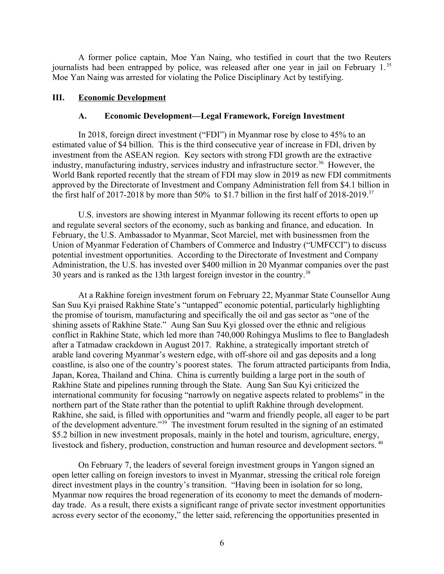A former police captain, Moe Yan Naing, who testified in court that the two Reuters journalists had been entrapped by police, was released after one year in jail on February 1.<sup>35</sup> Moe Yan Naing was arrested for violating the Police Disciplinary Act by testifying.

### **III. Economic Development**

### <span id="page-5-1"></span><span id="page-5-0"></span>**A. Economic Development—Legal Framework, Foreign Investment**

In 2018, foreign direct investment ("FDI") in Myanmar rose by close to 45% to an estimated value of \$4 billion. This is the third consecutive year of increase in FDI, driven by investment from the ASEAN region. Key sectors with strong FDI growth are the extractive industry, manufacturing industry, services industry and infrastructure sector.<sup>36</sup> However, the World Bank reported recently that the stream of FDI may slow in 2019 as new FDI commitments approved by the Directorate of Investment and Company Administration fell from \$4.1 billion in the first half of 2017-2018 by more than 50% to \$1.7 billion in the first half of 2018-2019.<sup>37</sup>

U.S. investors are showing interest in Myanmar following its recent efforts to open up and regulate several sectors of the economy, such as banking and finance, and education. In February, the U.S. Ambassador to Myanmar, Scot Marciel, met with businessmen from the Union of Myanmar Federation of Chambers of Commerce and Industry ("UMFCCI") to discuss potential investment opportunities. According to the Directorate of Investment and Company Administration, the U.S. has invested over \$400 million in 20 Myanmar companies over the past 30 years and is ranked as the 13th largest foreign investor in the country.<sup>38</sup>

At a Rakhine foreign investment forum on February 22, Myanmar State Counsellor Aung San Suu Kyi praised Rakhine State's "untapped" economic potential, particularly highlighting the promise of tourism, manufacturing and specifically the oil and gas sector as "one of the shining assets of Rakhine State." Aung San Suu Kyi glossed over the ethnic and religious conflict in Rakhine State, which led more than 740,000 Rohingya Muslims to flee to Bangladesh after a Tatmadaw crackdown in August 2017. Rakhine, a strategically important stretch of arable land covering Myanmar's western edge, with off-shore oil and gas deposits and a long coastline, is also one of the country's poorest states. The forum attracted participants from India, Japan, Korea, Thailand and China. China is currently building a large port in the south of Rakhine State and pipelines running through the State. Aung San Suu Kyi criticized the international community for focusing "narrowly on negative aspects related to problems" in the northern part of the State rather than the potential to uplift Rakhine through development. Rakhine, she said, is filled with opportunities and "warm and friendly people, all eager to be part of the development adventure."<sup>39</sup> The investment forum resulted in the signing of an estimated \$5.2 billion in new investment proposals, mainly in the hotel and tourism, agriculture, energy, livestock and fishery, production, construction and human resource and development sectors. <sup>40</sup>

On February 7, the leaders of several foreign investment groups in Yangon signed an open letter calling on foreign investors to invest in Myanmar, stressing the critical role foreign direct investment plays in the country's transition. "Having been in isolation for so long, Myanmar now requires the broad regeneration of its economy to meet the demands of modernday trade. As a result, there exists a significant range of private sector investment opportunities across every sector of the economy," the letter said, referencing the opportunities presented in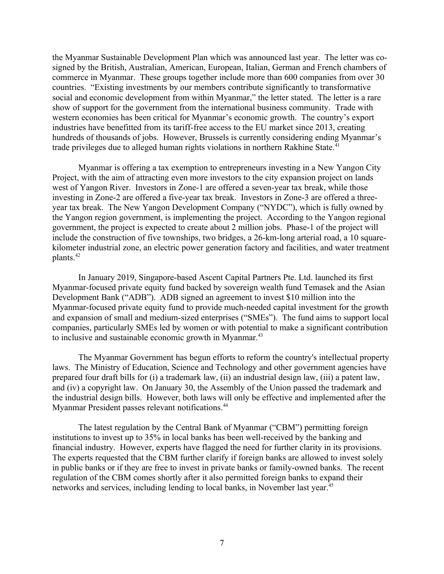the Myanmar Sustainable Development Plan which was announced last year. The letter was cosigned by the British, Australian, American, European, Italian, German and French chambers of commerce in Myanmar. These groups together include more than 600 companies from over 30 countries. "Existing investments by our members contribute significantly to transformative social and economic development from within Myanmar," the letter stated. The letter is a rare show of support for the government from the international business community. Trade with western economies has been critical for Myanmar's economic growth. The country's export industries have benefitted from its tariff-free access to the EU market since 2013, creating hundreds of thousands of jobs. However, Brussels is currently considering ending Myanmar's trade privileges due to alleged human rights violations in northern Rakhine State.<sup>41</sup>

Myanmar is offering a tax exemption to entrepreneurs investing in a New Yangon City Project, with the aim of attracting even more investors to the city expansion project on lands west of Yangon River. Investors in Zone-1 are offered a seven-year tax break, while those investing in Zone-2 are offered a five-year tax break. Investors in Zone-3 are offered a threeyear tax break. The New Yangon Development Company ("NYDC"), which is fully owned by the Yangon region government, is implementing the project. According to the Yangon regional government, the project is expected to create about 2 million jobs. Phase-1 of the project will include the construction of five townships, two bridges, a 26-km-long arterial road, a 10 squarekilometer industrial zone, an electric power generation factory and facilities, and water treatment plants.<sup>42</sup>

In January 2019, Singapore-based Ascent Capital Partners Pte. Ltd. launched its first Myanmar-focused private equity fund backed by sovereign wealth fund Temasek and the Asian Development Bank ("ADB"). ADB signed an agreement to invest \$10 million into the Myanmar-focused private equity fund to provide much-needed capital investment for the growth and expansion of small and medium-sized enterprises ("SMEs"). The fund aims to support local companies, particularly SMEs led by women or with potential to make a significant contribution to inclusive and sustainable economic growth in Myanmar.<sup>43</sup>

The Myanmar Government has begun efforts to reform the country's intellectual property laws. The Ministry of Education, Science and Technology and other government agencies have prepared four draft bills for (i) a trademark law, (ii) an industrial design law, (iii) a patent law, and (iv) a copyright law. On January 30, the Assembly of the Union passed the trademark and the industrial design bills. However, both laws will only be effective and implemented after the Myanmar President passes relevant notifications.<sup>44</sup>

The latest regulation by the Central Bank of Myanmar ("CBM") permitting foreign institutions to invest up to 35% in local banks has been well-received by the banking and financial industry. However, experts have flagged the need for further clarity in its provisions. The experts requested that the CBM further clarify if foreign banks are allowed to invest solely in public banks or if they are free to invest in private banks or family-owned banks. The recent regulation of the CBM comes shortly after it also permitted foreign banks to expand their networks and services, including lending to local banks, in November last year.<sup>45</sup>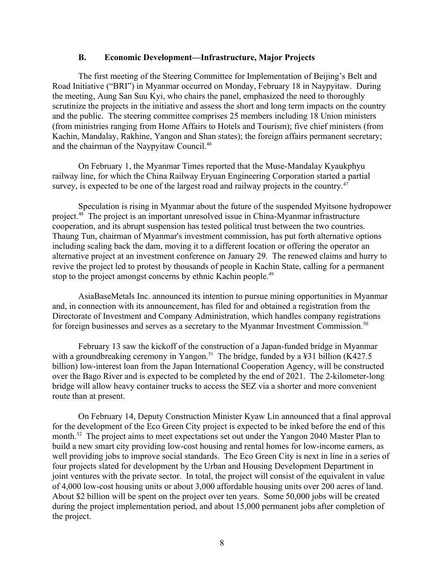#### <span id="page-7-0"></span>**B. Economic Development—Infrastructure, Major Projects**

The first meeting of the Steering Committee for Implementation of Beijing's Belt and Road Initiative ("BRI") in Myanmar occurred on Monday, February 18 in Naypyitaw. During the meeting, Aung San Suu Kyi, who chairs the panel, emphasized the need to thoroughly scrutinize the projects in the initiative and assess the short and long term impacts on the country and the public. The steering committee comprises 25 members including 18 Union ministers (from ministries ranging from Home Affairs to Hotels and Tourism); five chief ministers (from Kachin, Mandalay, Rakhine, Yangon and Shan states); the foreign affairs permanent secretary; and the chairman of the Naypyitaw Council.<sup>46</sup>

On February 1, the Myanmar Times reported that the Muse-Mandalay Kyaukphyu railway line, for which the China Railway Eryuan Engineering Corporation started a partial survey, is expected to be one of the largest road and railway projects in the country.<sup>47</sup>

Speculation is rising in Myanmar about the future of the suspended Myitsone hydropower project.<sup>48</sup> The project is an important unresolved issue in China-Myanmar infrastructure cooperation, and its abrupt suspension has tested political trust between the two countries. Thaung Tun, chairman of Myanmar's investment commission, has put forth alternative options including scaling back the dam, moving it to a different location or offering the operator an alternative project at an investment conference on January 29. The renewed claims and hurry to revive the project led to protest by thousands of people in Kachin State, calling for a permanent stop to the project amongst concerns by ethnic Kachin people.<sup>49</sup>

AsiaBaseMetals Inc. announced its intention to pursue mining opportunities in Myanmar and, in connection with its announcement, has filed for and obtained a registration from the Directorate of Investment and Company Administration, which handles company registrations for foreign businesses and serves as a secretary to the Myanmar Investment Commission.<sup>50</sup>

February 13 saw the kickoff of the construction of a Japan-funded bridge in Myanmar with a groundbreaking ceremony in Yangon.<sup>51</sup> The bridge, funded by a ¥31 billion (K427.5) billion) low-interest loan from the Japan International Cooperation Agency, will be constructed over the Bago River and is expected to be completed by the end of 2021. The 2-kilometer-long bridge will allow heavy container trucks to access the SEZ via a shorter and more convenient route than at present.

On February 14, Deputy Construction Minister Kyaw Lin announced that a final approval for the development of the Eco Green City project is expected to be inked before the end of this month.<sup>52</sup> The project aims to meet expectations set out under the Yangon 2040 Master Plan to build a new smart city providing low-cost housing and rental homes for low-income earners, as well providing jobs to improve social standards. The Eco Green City is next in line in a series of four projects slated for development by the Urban and Housing Development Department in joint ventures with the private sector. In total, the project will consist of the equivalent in value of 4,000 low-cost housing units or about 3,000 affordable housing units over 200 acres of land. About \$2 billion will be spent on the project over ten years. Some 50,000 jobs will be created during the project implementation period, and about 15,000 permanent jobs after completion of the project.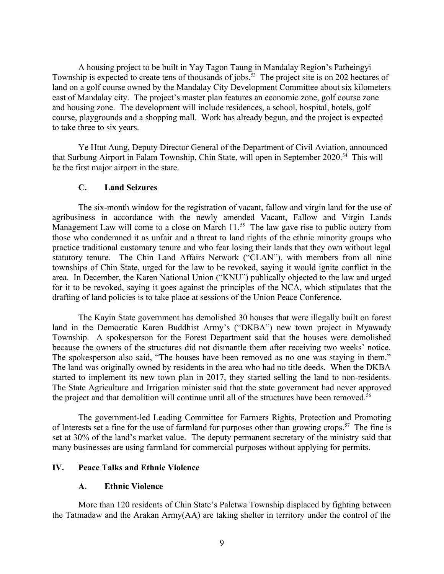A housing project to be built in Yay Tagon Taung in Mandalay Region's Patheingyi Township is expected to create tens of thousands of jobs.<sup>53</sup> The project site is on 202 hectares of land on a golf course owned by the Mandalay City Development Committee about six kilometers east of Mandalay city. The project's master plan features an economic zone, golf course zone and housing zone. The development will include residences, a school, hospital, hotels, golf course, playgrounds and a shopping mall. Work has already begun, and the project is expected to take three to six years.

Ye Htut Aung, Deputy Director General of the Department of Civil Aviation, announced that Surbung Airport in Falam Township, Chin State, will open in September 2020.<sup>54</sup> This will be the first major airport in the state.

### **C. Land Seizures**

The six-month window for the registration of vacant, fallow and virgin land for the use of agribusiness in accordance with the newly amended Vacant, Fallow and Virgin Lands Management Law will come to a close on March  $11.^{55}$  The law gave rise to public outcry from those who condemned it as unfair and a threat to land rights of the ethnic minority groups who practice traditional customary tenure and who fear losing their lands that they own without legal statutory tenure. The Chin Land Affairs Network ("CLAN"), with members from all nine townships of Chin State, urged for the law to be revoked, saying it would ignite conflict in the area. In December, the Karen National Union ("KNU") publically objected to the law and urged for it to be revoked, saying it goes against the principles of the NCA, which stipulates that the drafting of land policies is to take place at sessions of the Union Peace Conference.

The Kayin State government has demolished 30 houses that were illegally built on forest land in the Democratic Karen Buddhist Army's ("DKBA") new town project in Myawady Township. A spokesperson for the Forest Department said that the houses were demolished because the owners of the structures did not dismantle them after receiving two weeks' notice. The spokesperson also said, "The houses have been removed as no one was staying in them." The land was originally owned by residents in the area who had no title deeds. When the DKBA started to implement its new town plan in 2017, they started selling the land to non-residents. The State Agriculture and Irrigation minister said that the state government had never approved the project and that demolition will continue until all of the structures have been removed.<sup>56</sup>

The government-led Leading Committee for Farmers Rights, Protection and Promoting of Interests set a fine for the use of farmland for purposes other than growing crops.<sup>57</sup> The fine is set at 30% of the land's market value. The deputy permanent secretary of the ministry said that many businesses are using farmland for commercial purposes without applying for permits.

### **IV. Peace Talks and Ethnic Violence**

#### <span id="page-8-1"></span><span id="page-8-0"></span>**A. Ethnic Violence**

More than 120 residents of Chin State's Paletwa Township displaced by fighting between the Tatmadaw and the Arakan Army(AA) are taking shelter in territory under the control of the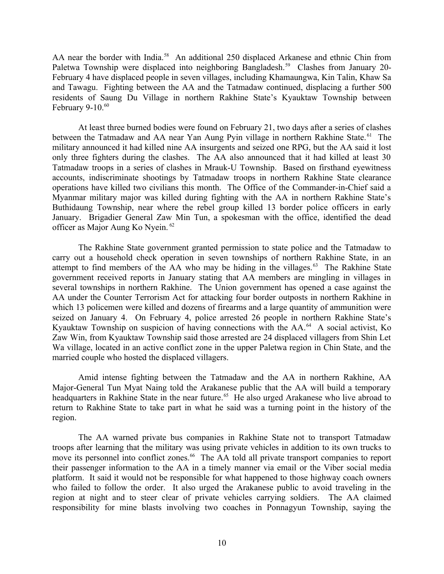AA near the border with India.<sup>58</sup> An additional 250 displaced Arkanese and ethnic Chin from Paletwa Township were displaced into neighboring Bangladesh.<sup>59</sup> Clashes from January 20-February 4 have displaced people in seven villages, including Khamaungwa, Kin Talin, Khaw Sa and Tawagu. Fighting between the AA and the Tatmadaw continued, displacing a further 500 residents of Saung Du Village in northern Rakhine State's Kyauktaw Township between February 9-10. $60$ 

At least three burned bodies were found on February 21, two days after a series of clashes between the Tatmadaw and AA near Yan Aung Pyin village in northern Rakhine State.<sup>61</sup> The military announced it had killed nine AA insurgents and seized one RPG, but the AA said it lost only three fighters during the clashes. The AA also announced that it had killed at least 30 Tatmadaw troops in a series of clashes in Mrauk-U Township. Based on firsthand eyewitness accounts, indiscriminate shootings by Tatmadaw troops in northern Rakhine State clearance operations have killed two civilians this month. The Office of the Commander-in-Chief said a Myanmar military major was killed during fighting with the AA in northern Rakhine State's Buthidaung Township, near where the rebel group killed 13 border police officers in early January. Brigadier General Zaw Min Tun, a spokesman with the office, identified the dead officer as Major Aung Ko Nyein. <sup>62</sup>

The Rakhine State government granted permission to state police and the Tatmadaw to carry out a household check operation in seven townships of northern Rakhine State, in an attempt to find members of the AA who may be hiding in the villages. $63$  The Rakhine State government received reports in January stating that AA members are mingling in villages in several townships in northern Rakhine. The Union government has opened a case against the AA under the Counter Terrorism Act for attacking four border outposts in northern Rakhine in which 13 policemen were killed and dozens of firearms and a large quantity of ammunition were seized on January 4. On February 4, police arrested 26 people in northern Rakhine State's Kyauktaw Township on suspicion of having connections with the AA.<sup>64</sup> A social activist, Ko Zaw Win, from Kyauktaw Township said those arrested are 24 displaced villagers from Shin Let Wa village, located in an active conflict zone in the upper Paletwa region in Chin State, and the married couple who hosted the displaced villagers.

Amid intense fighting between the Tatmadaw and the AA in northern Rakhine, AA Major-General Tun Myat Naing told the Arakanese public that the AA will build a temporary headquarters in Rakhine State in the near future.<sup>65</sup> He also urged Arakanese who live abroad to return to Rakhine State to take part in what he said was a turning point in the history of the region.

The AA warned private bus companies in Rakhine State not to transport Tatmadaw troops after learning that the military was using private vehicles in addition to its own trucks to move its personnel into conflict zones.<sup>66</sup> The AA told all private transport companies to report their passenger information to the AA in a timely manner via email or the Viber social media platform. It said it would not be responsible for what happened to those highway coach owners who failed to follow the order. It also urged the Arakanese public to avoid traveling in the region at night and to steer clear of private vehicles carrying soldiers. The AA claimed responsibility for mine blasts involving two coaches in Ponnagyun Township, saying the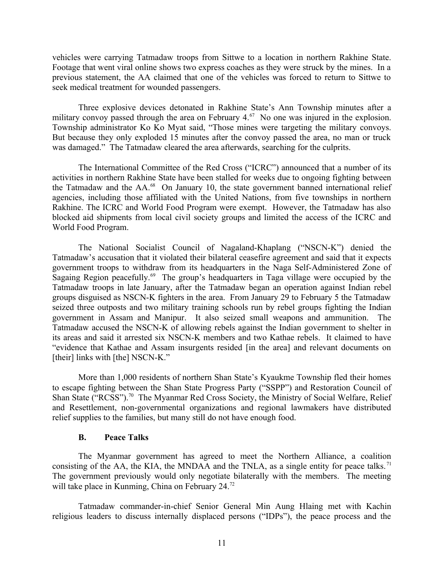vehicles were carrying Tatmadaw troops from Sittwe to a location in northern Rakhine State. Footage that went viral online shows two express coaches as they were struck by the mines. In a previous statement, the AA claimed that one of the vehicles was forced to return to Sittwe to seek medical treatment for wounded passengers.

Three explosive devices detonated in Rakhine State's Ann Township minutes after a military convoy passed through the area on February  $4.67$  No one was injured in the explosion. Township administrator Ko Ko Myat said, "Those mines were targeting the military convoys. But because they only exploded 15 minutes after the convoy passed the area, no man or truck was damaged." The Tatmadaw cleared the area afterwards, searching for the culprits.

The International Committee of the Red Cross ("ICRC") announced that a number of its activities in northern Rakhine State have been stalled for weeks due to ongoing fighting between the Tatmadaw and the AA.<sup>68</sup> On January 10, the state government banned international relief agencies, including those affiliated with the United Nations, from five townships in northern Rakhine. The ICRC and World Food Program were exempt. However, the Tatmadaw has also blocked aid shipments from local civil society groups and limited the access of the ICRC and World Food Program.

The National Socialist Council of Nagaland-Khaplang ("NSCN-K") denied the Tatmadaw's accusation that it violated their bilateral ceasefire agreement and said that it expects government troops to withdraw from its headquarters in the Naga Self-Administered Zone of Sagaing Region peacefully.<sup>69</sup> The group's headquarters in Taga village were occupied by the Tatmadaw troops in late January, after the Tatmadaw began an operation against Indian rebel groups disguised as NSCN-K fighters in the area. From January 29 to February 5 the Tatmadaw seized three outposts and two military training schools run by rebel groups fighting the Indian government in Assam and Manipur. It also seized small weapons and ammunition. The Tatmadaw accused the NSCN-K of allowing rebels against the Indian government to shelter in its areas and said it arrested six NSCN-K members and two Kathae rebels. It claimed to have "evidence that Kathae and Assam insurgents resided [in the area] and relevant documents on [their] links with [the] NSCN-K."

More than 1,000 residents of northern Shan State's Kyaukme Township fled their homes to escape fighting between the Shan State Progress Party ("SSPP") and Restoration Council of Shan State ("RCSS").<sup>70</sup> The Myanmar Red Cross Society, the Ministry of Social Welfare, Relief and Resettlement, non-governmental organizations and regional lawmakers have distributed relief supplies to the families, but many still do not have enough food.

#### <span id="page-10-0"></span>**B. Peace Talks**

The Myanmar government has agreed to meet the Northern Alliance, a coalition consisting of the AA, the KIA, the MNDAA and the TNLA, as a single entity for peace talks.<sup>71</sup> The government previously would only negotiate bilaterally with the members. The meeting will take place in Kunming, China on February 24.<sup>72</sup>

Tatmadaw commander-in-chief Senior General Min Aung Hlaing met with Kachin religious leaders to discuss internally displaced persons ("IDPs"), the peace process and the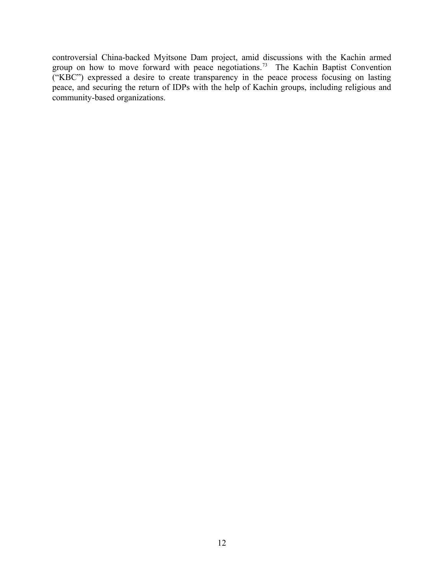controversial China-backed Myitsone Dam project, amid discussions with the Kachin armed group on how to move forward with peace negotiations.<sup>73</sup> The Kachin Baptist Convention ("KBC") expressed a desire to create transparency in the peace process focusing on lasting peace, and securing the return of IDPs with the help of Kachin groups, including religious and community-based organizations.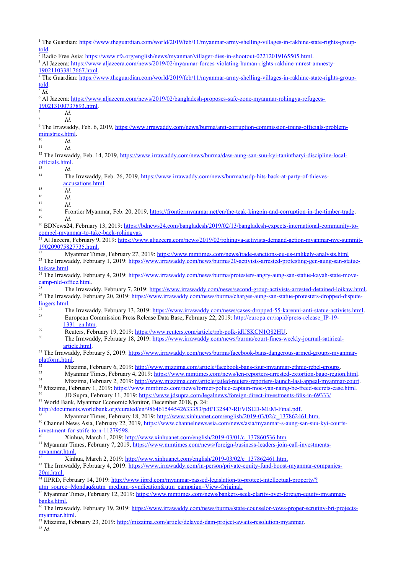<sup>1</sup> The Guardian: [https://www.theguardian.com/world/2019/feb/11/myanmar-army-shelling-villages-in-rakhine-state-rights-group](https://www.theguardian.com/world/2019/feb/11/myanmar-army-shelling-villages-in-rakhine-state-rights-group-told)[told.](https://www.theguardian.com/world/2019/feb/11/myanmar-army-shelling-villages-in-rakhine-state-rights-group-told)

<sup>2</sup> Radio Free Asia: <https://www.rfa.org/english/news/myanmar/villager-dies-in-shootout-02212019165505.html>.

<sup>3</sup> Al Jazeera: [https://www.aljazeera.com/news/2019/02/myanmar-forces-violating-human-rights-rakhine-unrest-amnesty-](https://www.aljazeera.com/news/2019/02/myanmar-forces-violating-human-rights-rakhine-unrest-amnesty-190211033817667.html)

[190211033817667.html](https://www.aljazeera.com/news/2019/02/myanmar-forces-violating-human-rights-rakhine-unrest-amnesty-190211033817667.html).

<sup>4</sup> The Guardian: [https://www.theguardian.com/world/2019/feb/11/myanmar-army-shelling-villages-in-rakhine-state-rights-group](https://www.theguardian.com/world/2019/feb/11/myanmar-army-shelling-villages-in-rakhine-state-rights-group-told)[told.](https://www.theguardian.com/world/2019/feb/11/myanmar-army-shelling-villages-in-rakhine-state-rights-group-told)

5 *Id.*

8

<sup>6</sup> Al Jazeera: [https://www.aljazeera.com/news/2019/02/bangladesh-proposes-safe-zone-myanmar-rohingya-refugees-](https://www.aljazeera.com/news/2019/02/bangladesh-proposes-safe-zone-myanmar-rohingya-refugees-190213100737893.html)

[190213100737893.html](https://www.aljazeera.com/news/2019/02/bangladesh-proposes-safe-zone-myanmar-rohingya-refugees-190213100737893.html). 7 *Id.*

*Id*.

<sup>9</sup> The Irrawaddy, Feb. 6, 2019, [https://www.irrawaddy.com/news/burma/anti-corruption-commission-trains-officials-problem](https://www.irrawaddy.com/news/burma/anti-corruption-commission-trains-officials-problem-ministries.html)[ministries.html](https://www.irrawaddy.com/news/burma/anti-corruption-commission-trains-officials-problem-ministries.html).

 $\frac{10}{11}$  *Id.* 

<sup>11</sup> *Id.*

<sup>12</sup> The Irrawaddy, Feb. 14, 2019, [https://www.irrawaddy.com/news/burma/daw-aung-san-suu-kyi-tanintharyi-discipline-local](https://www.irrawaddy.com/news/burma/daw-aung-san-suu-kyi-tanintharyi-discipline-local-officials.html)[officials.html](https://www.irrawaddy.com/news/burma/daw-aung-san-suu-kyi-tanintharyi-discipline-local-officials.html).

- $\frac{13}{14}$  *Id.* 14 The Irrawaddy, Feb. 26, 2019, [https://www.irrawaddy.com/news/burma/usdp-hits-back-at-party-of-thieves](https://www.irrawaddy.com/news/burma/usdp-hits-back-at-party-of-thieves-accusations.html)[accusations.html](https://www.irrawaddy.com/news/burma/usdp-hits-back-at-party-of-thieves-accusations.html).
- $\frac{15}{16}$  *Id.*

 $\frac{16}{17}$  *Id.* 

 $\frac{17}{18}$  *Id.* 

<sup>18</sup> Frontier Myanmar, Feb. 20, 2019, <https://frontiermyanmar.net/en/the-teak-kingpin-and-corruption-in-the-timber-trade>. <sup>19</sup> *Id.*

<sup>20</sup> BDNews24, February 13, 2019: [https://bdnews24.com/bangladesh/2019/02/13/bangladesh-expects-international-community-to](https://bdnews24.com/bangladesh/2019/02/13/bangladesh-expects-international-community-to-compel-myanmar-to-take-back-rohingyas)  [compel-myanmar-to-take-back-rohingyas.](https://bdnews24.com/bangladesh/2019/02/13/bangladesh-expects-international-community-to-compel-myanmar-to-take-back-rohingyas)

<sup>21</sup> Al Jazeera, February 9, 2019: [https://www.aljazeera.com/news/2019/02/rohingya-activists-demand-action-myanmar-nyc-summit-](https://www.aljazeera.com/news/2019/02/rohingya-activists-demand-action-myanmar-nyc-summit-190209075827735.html)  [190209075827735.html](https://www.aljazeera.com/news/2019/02/rohingya-activists-demand-action-myanmar-nyc-summit-190209075827735.html).

<sup>22</sup> Myanmar Times, February 27, 2019:<https://www.mmtimes.com/news/trade-sanctions-eu-us-unlikely-analysts.html> <sup>23</sup> The Irrawaddy, February 1, 2019: [https://www.irrawaddy.com/news/burma/20-activists-arrested-protesting-gen-aung-san-statue](https://www.irrawaddy.com/news/burma/20-activists-arrested-protesting-gen-aung-san-statue-loikaw.html)[loikaw.html](https://www.irrawaddy.com/news/burma/20-activists-arrested-protesting-gen-aung-san-statue-loikaw.html).

<sup>24</sup> The Irrawaddy, February 4, 2019: [https://www.irrawaddy.com/news/burma/protesters-angry-aung-san-statue-kayah-state-move](https://www.irrawaddy.com/news/burma/protesters-angry-aung-san-statue-kayah-state-move-camp-nld-office.html)[camp-nld-office.html](https://www.irrawaddy.com/news/burma/protesters-angry-aung-san-statue-kayah-state-move-camp-nld-office.html).

<sup>25</sup> The Irrawaddy, February 7, 2019:<https://www.irrawaddy.com/news/second-group-activists-arrested-detained-loikaw.html>. <sup>26</sup> The Irrawaddy, February 20, 2019: [https://www.irrawaddy.com/news/burma/charges-aung-san-statue-protesters-dropped-dispute](https://www.irrawaddy.com/news/burma/charges-aung-san-statue-protesters-dropped-dispute-lingers.html)[lingers.html](https://www.irrawaddy.com/news/burma/charges-aung-san-statue-protesters-dropped-dispute-lingers.html).

<sup>27</sup> The Irrawaddy, February 13, 2019: <u><https://www.irrawaddy.com/news/cases-dropped-55-karenni-anti-statue-activists.html>.</u><br><sup>28</sup> European Commission Bases Belase Deta Base February 22, 2010: http://www.gr.phil/www.gr.html <sup>28</sup> European Commission Press Release Data Base, February 22, 2019: [http://europa.eu/rapid/press-release\\_IP-19-](http://europa.eu/rapid/press-release_IP-19-1331_en.htm) [1331\\_en.htm](http://europa.eu/rapid/press-release_IP-19-1331_en.htm).

<sup>29</sup><br>Reuters, February 19, 2019: <https://www.reuters.com/article/rpb-polk-idUSKCN1Q82HU>.

The Irrawaddy, February 18, 2019: [https://www.irrawaddy.com/news/burma/court-fines-weekly-journal-satirical](https://www.irrawaddy.com/news/burma/court-fines-weekly-journal-satirical-article.html)[article.html](https://www.irrawaddy.com/news/burma/court-fines-weekly-journal-satirical-article.html).

<sup>31</sup> The Irrawaddy, February 5, 2019: [https://www.irrawaddy.com/news/burma/facebook-bans-dangerous-armed-groups-myanmar](https://www.irrawaddy.com/news/burma/facebook-bans-dangerous-armed-groups-myanmar-platform.html)[platform.html.](https://www.irrawaddy.com/news/burma/facebook-bans-dangerous-armed-groups-myanmar-platform.html)

<sup>32</sup> Mizzima, February 6, 2019: <http://www.mizzima.com/article/facebook-bans-four-myanmar-ethnic-rebel-groups>.

- 33 Myanmar Times, February 4, 2019: <https://www.mmtimes.com/news/ten-reporters-arrested-extortion-bago-region.html>.
- Mizzima, February 2, 2019: <http://www.mizzima.com/article/jailed-reuters-reporters-launch-last-appeal-myanmar-court>.

<sup>35</sup> Mizzima, February 1, 2019:<https://www.mmtimes.com/news/former-police-captain-moe-yan-naing-be-freed-secrets-case.html>. JD Supra, February 11, 2019: <https://www.jdsupra.com/legalnews/foreign-direct-investments-fdis-in-69333/>

<sup>37</sup> World Bank, Myanmar Economic Monitor, December 2018, p. 24: <http://documents.worldbank.org/curated/en/986461544542633353/pdf/132847-REVISED-MEM-Final.pdf>.

<sup>38</sup> Myanmar Times, February 18, 2019: [http://www.xinhuanet.com/english/2019-03/02/c\\_137862461.htm](http://www.xinhuanet.com/english/2019-03/02/c_137862461.htm).

<sup>39</sup> Channel News Asia, February 22, 2019, [https://www.channelnewsasia.com/news/asia/myanmar-s-aung-san-suu-kyi-courts](https://www.channelnewsasia.com/news/asia/myanmar-s-aung-san-suu-kyi-courts-investment-for-strife-torn-11279598)  [investment-for-strife-torn-11279598.](https://www.channelnewsasia.com/news/asia/myanmar-s-aung-san-suu-kyi-courts-investment-for-strife-torn-11279598)

<sup>40</sup> Xinhua, March 1, 2019: [http://www.xinhuanet.com/english/2019-03/01/c\\_137860536.htm](http://www.xinhuanet.com/english/2019-03/01/c_137860536.htm)

<sup>41</sup> Myanmar Times, February 7, 2019, [https://www.mmtimes.com/news/foreign-business-leaders-join-call-investments](https://www.mmtimes.com/news/foreign-business-leaders-join-call-investments-myanmar.html)  [myanmar.html.](https://www.mmtimes.com/news/foreign-business-leaders-join-call-investments-myanmar.html)

<sup>42</sup> Xinhua, March 2, 2019: [http://www.xinhuanet.com/english/2019-03/02/c\\_137862461.htm](http://www.xinhuanet.com/english/2019-03/02/c_137862461.htm).

<sup>43</sup> The Irrawaddy, February 4, 2019: [https://www.irrawaddy.com/in-person/private-equity-fund-boost-myanmar-companies-](https://www.irrawaddy.com/in-person/private-equity-fund-boost-myanmar-companies-20m.html)  [20m.html.](https://www.irrawaddy.com/in-person/private-equity-fund-boost-myanmar-companies-20m.html)

<sup>44</sup> IIPRD, February 14, 2019: [http://www.iiprd.com/myanmar-passed-legislation-to-protect-intellectual-property/?](http://www.iiprd.com/myanmar-passed-legislation-to-protect-intellectual-property/?utm_source=Mondaq&utm_medium=syndication&utm_campaign=View-Original) utm\_source=Mondaq&utm\_medium=syndication&utm\_campaign=View-Original.

<sup>45</sup> Myanmar Times, February 12, 2019: [https://www.mmtimes.com/news/bankers-seek-clarity-over-foreign-equity-myanmar](https://www.mmtimes.com/news/bankers-seek-clarity-over-foreign-equity-myanmar-banks.html)  [banks.html.](https://www.mmtimes.com/news/bankers-seek-clarity-over-foreign-equity-myanmar-banks.html)

<sup>46</sup> The Irrawaddy, February 19, 2019: [https://www.irrawaddy.com/news/burma/state-counselor-vows-proper-scrutiny-bri-projects](https://www.irrawaddy.com/news/burma/state-counselor-vows-proper-scrutiny-bri-projects-myanmar.html)[myanmar.html.](https://www.irrawaddy.com/news/burma/state-counselor-vows-proper-scrutiny-bri-projects-myanmar.html)

<sup>47</sup> Mizzima, February 23, 2019: [http://mizzima.com/article/delayed-dam-project-awaits-resolution-myanmar.](http://mizzima.com/article/delayed-dam-project-awaits-resolution-myanmar)

<sup>48</sup> *Id.*